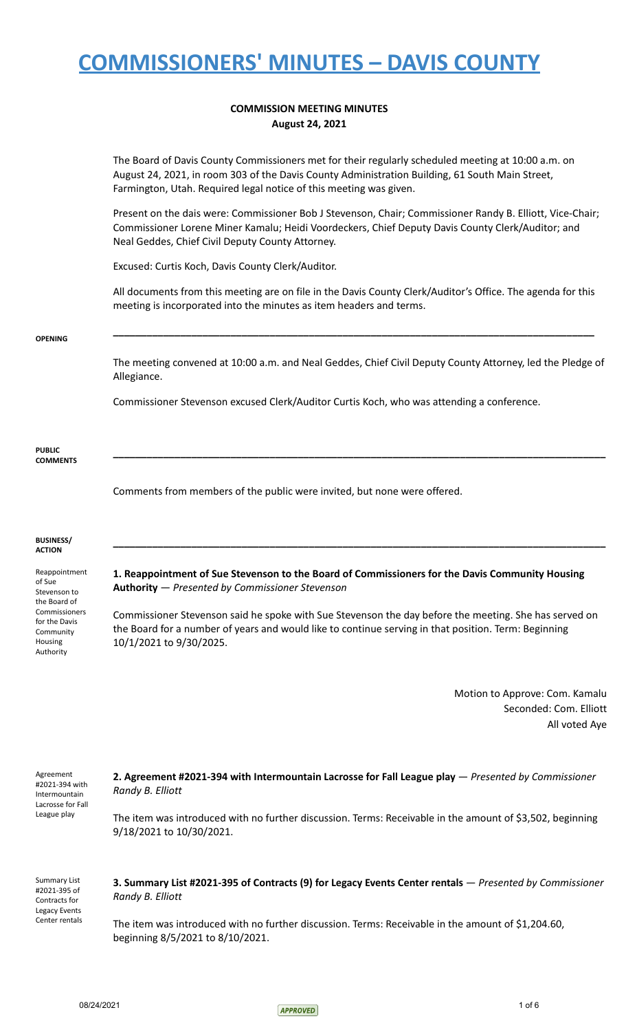### **COMMISSION MEETING MINUTES August 24, 2021**

The Board of Davis County Commissioners met for their regularly scheduled meeting at 10:00 a.m. on August 24, 2021, in room 303 of the Davis County Administration Building, 61 South Main Street, Farmington, Utah. Required legal notice of this meeting was given.

Present on the dais were: Commissioner Bob J Stevenson, Chair; Commissioner Randy B. Elliott, Vice-Chair; Commissioner Lorene Miner Kamalu; Heidi Voordeckers, Chief Deputy Davis County Clerk/Auditor; and Neal Geddes, Chief Civil Deputy County Attorney.

Excused: Curtis Koch, Davis County Clerk/Auditor.

All documents from this meeting are on file in the Davis County Clerk/Auditor's Office. The agenda for this meeting is incorporated into the minutes as item headers and terms.

**\_\_\_\_\_\_\_\_\_\_\_\_\_\_\_\_\_\_\_\_\_\_\_\_\_\_\_\_\_\_\_\_\_\_\_\_\_\_\_\_\_\_\_\_\_\_\_\_\_\_\_\_\_\_\_\_\_\_\_\_\_\_\_\_\_\_\_\_\_\_\_\_\_\_\_\_\_\_\_\_\_\_\_\_\_\_**

#### **OPENING**

The meeting convened at 10:00 a.m. and Neal Geddes, Chief Civil Deputy County Attorney, led the Pledge of Allegiance.

**\_\_\_\_\_\_\_\_\_\_\_\_\_\_\_\_\_\_\_\_\_\_\_\_\_\_\_\_\_\_\_\_\_\_\_\_\_\_\_\_\_\_\_\_\_\_\_\_\_\_\_\_\_\_\_\_\_\_\_\_\_\_\_\_\_\_\_\_\_\_\_\_\_\_\_\_\_\_\_\_\_\_\_\_\_\_\_\_**

**\_\_\_\_\_\_\_\_\_\_\_\_\_\_\_\_\_\_\_\_\_\_\_\_\_\_\_\_\_\_\_\_\_\_\_\_\_\_\_\_\_\_\_\_\_\_\_\_\_\_\_\_\_\_\_\_\_\_\_\_\_\_\_\_\_\_\_\_\_\_\_\_\_\_\_\_\_\_\_\_\_\_\_\_\_\_\_\_**

Commissioner Stevenson excused Clerk/Auditor Curtis Koch, who was attending a conference.

**PUBLIC COMMENTS**

Comments from members of the public were invited, but none were offered.

#### **BUSINESS/ ACTION**

Reappointment of Sue Stevenson to the Board of Commissioners for the Davis Community Housing Authority

**1. Reappointment of Sue Stevenson to the Board of Commissioners for the Davis Community Housing Authority** — *Presented by Commissioner Stevenson*

Commissioner Stevenson said he spoke with Sue Stevenson the day before the meeting. She has served on the Board for a number of years and would like to continue serving in that position. Term: Beginning 10/1/2021 to 9/30/2025.

> Motion to Approve: Com. Kamalu Seconded: Com. Elliott All voted Aye

| Agreement<br>#2021-394 with<br>Intermountain<br>Lacrosse for Fall<br>League play | 2. Agreement #2021-394 with Intermountain Lacrosse for Fall League play — Presented by Commissioner<br>Randy B. Elliott               |  |  |
|----------------------------------------------------------------------------------|---------------------------------------------------------------------------------------------------------------------------------------|--|--|
|                                                                                  | The item was introduced with no further discussion. Terms: Receivable in the amount of \$3,502, beginning<br>9/18/2021 to 10/30/2021. |  |  |
| <b>Summary List</b><br>#2021-395 of<br>Contracts for<br>Legacy Events            | 3. Summary List #2021-395 of Contracts (9) for Legacy Events Center rentals — Presented by Commissioner<br>Randy B. Elliott           |  |  |
| Center rentals                                                                   | The item was introduced with no further discussion Terms: Receivable in the amount of \$1,200 60                                      |  |  |

The item was introduced with no further discussion. Terms: Receivable in the amount of \$1,204.60, beginning 8/5/2021 to 8/10/2021.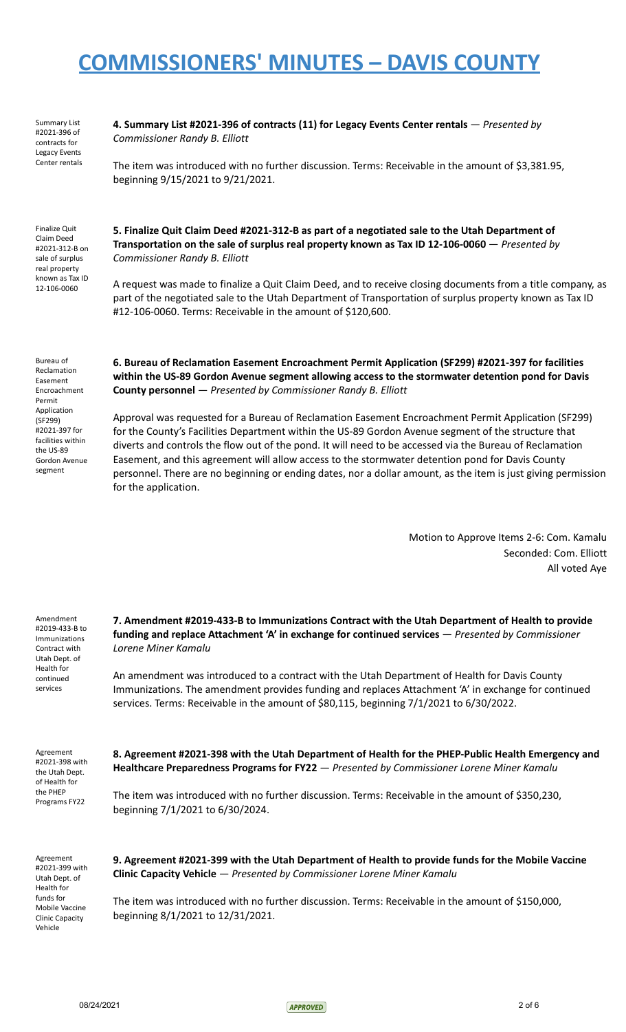Summary List #2021-396 of contracts for Legacy Events Center rentals **4. Summary List #2021-396 of contracts (11) for Legacy Events Center rentals** — *Presented by Commissioner Randy B. Elliott*

The item was introduced with no further discussion. Terms: Receivable in the amount of \$3,381.95, beginning 9/15/2021 to 9/21/2021.

Finalize Quit Claim Deed #2021-312-B on sale of surplus real property known as Tax ID 12-106-0060

**Transportation on the sale of surplus real property known as Tax ID 12-106-0060** — *Presented by Commissioner Randy B. Elliott*

**5. Finalize Quit Claim Deed #2021-312-B as part of a negotiated sale to the Utah Department of**

A request was made to finalize a Quit Claim Deed, and to receive closing documents from a title company, as part of the negotiated sale to the Utah Department of Transportation of surplus property known as Tax ID #12-106-0060. Terms: Receivable in the amount of \$120,600.

Bureau of Reclamation Easement Encroachment Permit Application (SF299) #2021-397 for facilities within the US-89 Gordon Avenue segment

**6. Bureau of Reclamation Easement Encroachment Permit Application (SF299) #2021-397 for facilities within the US-89 Gordon Avenue segment allowing access to the stormwater detention pond for Davis County personnel** — *Presented by Commissioner Randy B. Elliott*

Approval was requested for a Bureau of Reclamation Easement Encroachment Permit Application (SF299) for the County's Facilities Department within the US-89 Gordon Avenue segment of the structure that diverts and controls the flow out of the pond. It will need to be accessed via the Bureau of Reclamation Easement, and this agreement will allow access to the stormwater detention pond for Davis County personnel. There are no beginning or ending dates, nor a dollar amount, as the item is just giving permission for the application.

> Motion to Approve Items 2-6: Com. Kamalu Seconded: Com. Elliott All voted Aye

| Amendment<br>#2019-433-B to<br>Immunizations<br>Contract with<br>Utah Dept. of<br>Health for<br>continued<br>services          | 7. Amendment #2019-433-B to Immunizations Contract with the Utah Department of Health to provide<br>funding and replace Attachment 'A' in exchange for continued services — Presented by Commissioner<br>Lorene Miner Kamalu<br>An amendment was introduced to a contract with the Utah Department of Health for Davis County<br>Immunizations. The amendment provides funding and replaces Attachment 'A' in exchange for continued<br>services. Terms: Receivable in the amount of \$80,115, beginning 7/1/2021 to 6/30/2022. |
|--------------------------------------------------------------------------------------------------------------------------------|---------------------------------------------------------------------------------------------------------------------------------------------------------------------------------------------------------------------------------------------------------------------------------------------------------------------------------------------------------------------------------------------------------------------------------------------------------------------------------------------------------------------------------|
| Agreement<br>#2021-398 with<br>the Utah Dept.<br>of Health for<br>the PHEP<br>Programs FY22                                    | 8. Agreement #2021-398 with the Utah Department of Health for the PHEP-Public Health Emergency and<br>Healthcare Preparedness Programs for FY22 - Presented by Commissioner Lorene Miner Kamalu<br>The item was introduced with no further discussion. Terms: Receivable in the amount of \$350,230,<br>beginning 7/1/2021 to 6/30/2024.                                                                                                                                                                                        |
| Agreement<br>#2021-399 with<br>Utah Dept. of<br>Health for<br>funds for<br>Mobile Vaccine<br><b>Clinic Capacity</b><br>Vehicle | 9. Agreement #2021-399 with the Utah Department of Health to provide funds for the Mobile Vaccine<br><b>Clinic Capacity Vehicle</b> — Presented by Commissioner Lorene Miner Kamalu<br>The item was introduced with no further discussion. Terms: Receivable in the amount of \$150,000,<br>beginning 8/1/2021 to 12/31/2021.                                                                                                                                                                                                   |

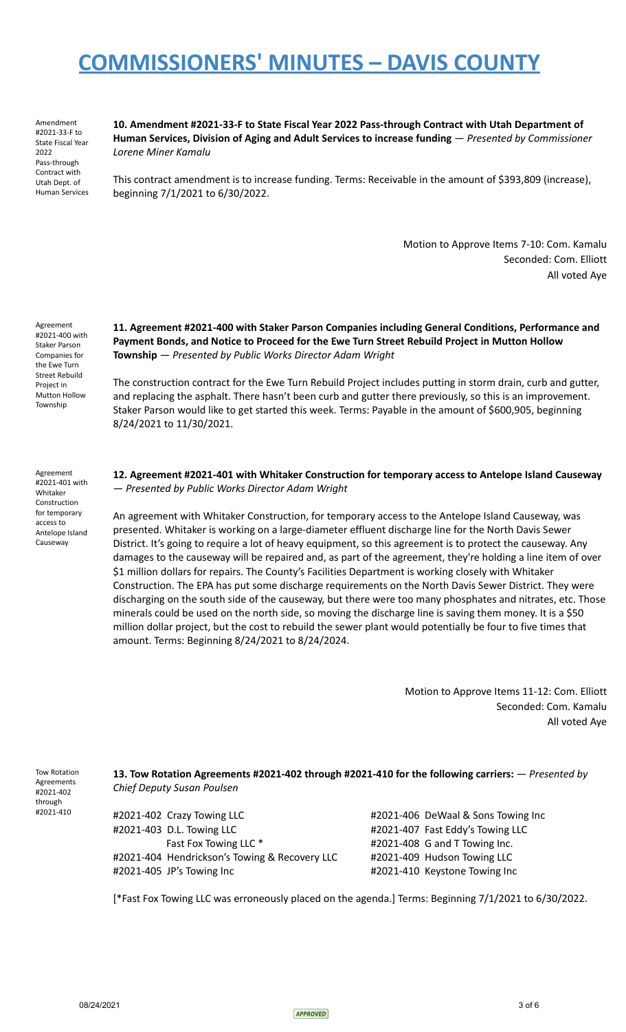Amendment #2021-33-F to State Fiscal Year 2022 Pass-through Contract with Utah Dept. of Human Services **10. Amendment #2021-33-F to State Fiscal Year 2022 Pass-through Contract with Utah Department of Human Services, Division of Aging and Adult Services to increase funding** — *Presented by Commissioner Lorene Miner Kamalu*

This contract amendment is to increase funding. Terms: Receivable in the amount of \$393,809 (increase), beginning 7/1/2021 to 6/30/2022.

> Motion to Approve Items 7-10: Com. Kamalu Seconded: Com. Elliott All voted Aye

Agreement #2021-400 with Staker Parson Companies for the Ewe Turn Street Rebuild Project in Mutton Hollow Township

**11. Agreement #2021-400 with Staker Parson Companies including General Conditions, Performance and Payment Bonds, and Notice to Proceed for the Ewe Turn Street Rebuild Project in Mutton Hollow Township** — *Presented by Public Works Director Adam Wright*

The construction contract for the Ewe Turn Rebuild Project includes putting in storm drain, curb and gutter, and replacing the asphalt. There hasn't been curb and gutter there previously, so this is an improvement. Staker Parson would like to get started this week. Terms: Payable in the amount of \$600,905, beginning 8/24/2021 to 11/30/2021.

Agreement #2021-401 with Whitaker Construction for temporary access to Antelope Island Causeway

**12. Agreement #2021-401 with Whitaker Construction for temporary access to Antelope Island Causeway** — *Presented by Public Works Director Adam Wright*

An agreement with Whitaker Construction, for temporary access to the Antelope Island Causeway, was presented. Whitaker is working on a large-diameter effluent discharge line for the North Davis Sewer District. It's going to require a lot of heavy equipment, so this agreement is to protect the causeway. Any damages to the causeway will be repaired and, as part of the agreement, they're holding a line item of over \$1 million dollars for repairs. The County's Facilities Department is working closely with Whitaker Construction. The EPA has put some discharge requirements on the North Davis Sewer District. They were discharging on the south side of the causeway, but there were too many phosphates and nitrates, etc. Those minerals could be used on the north side, so moving the discharge line is saving them money. It is a \$50 million dollar project, but the cost to rebuild the sewer plant would potentially be four to five times that amount. Terms: Beginning 8/24/2021 to 8/24/2024.

> Motion to Approve Items 11-12: Com. Elliott Seconded: Com. Kamalu All voted Aye

Tow Rotation Agreements #2021-402 through #2021-410

**13. Tow Rotation Agreements #2021-402 through #2021-410 for the following carriers:** — *Presented by Chief Deputy Susan Poulsen*

#2021-402 Crazy Towing LLC #2021-406 DeWaal & Sons Towing Inc #2021-403 D.L. Towing LLC #2021-407 Fast Eddy's Towing LLC Fast Fox Towing LLC \* #2021-408 G and T Towing Inc. #2021-404 Hendrickson's Towing & Recovery LLC #2021-409 Hudson Towing LLC #2021-405 JP's Towing Inc #2021-410 Keystone Towing Inc

[\*Fast Fox Towing LLC was erroneously placed on the agenda.] Terms: Beginning 7/1/2021 to 6/30/2022.

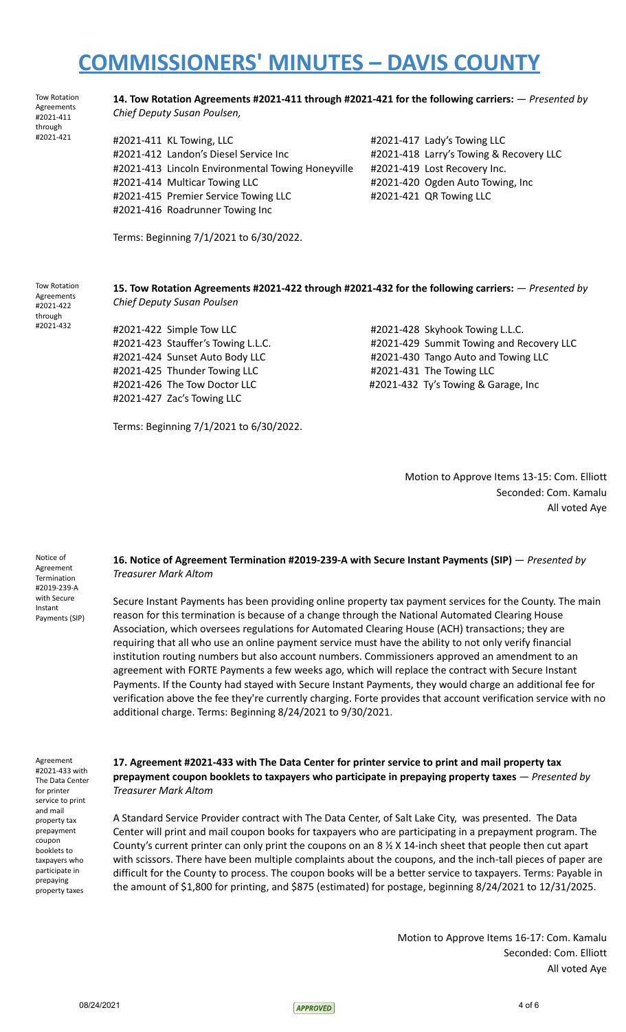|  | Chief Deputy Susan Poulsen,                       |      |
|--|---------------------------------------------------|------|
|  | #2021-411 KL Towing, LLC                          | #202 |
|  | #2021-412 Landon's Diesel Service Inc             | #202 |
|  | #2021-413 Lincoln Environmental Towing Honeyville | #202 |
|  | #2021-414 Multicar Towing LLC                     | #202 |
|  | #2021-415 Premier Service Towing LLC              | #202 |
|  | #2021-416 Roadrunner Towing Inc                   |      |
|  |                                                   |      |

21-417 Lady's Towing LLC 21-418 Larry's Towing & Recovery LLC 21-419 Lost Recovery Inc. 21-420 Ogden Auto Towing, Inc 21-421 QR Towing LLC

Terms: Beginning 7/1/2021 to 6/30/2022.

Tow Rotation Agreements #2021-422 through #2021-432

Tow Rotation Agreements #2021-411 through #2021-421

#### **15. Tow Rotation Agreements #2021-422 through #2021-432 for the following carriers:** — *Presented by Chief Deputy Susan Poulsen*

**14. Tow Rotation Agreements #2021-411 through #2021-421 for the following carriers:** — *Presented by*

#2021-422 Simple Tow LLC #2021-428 Skyhook Towing L.L.C. #2021-425 Thunder Towing LLC #2021-431 The Towing LLC #2021-427 Zac's Towing LLC

#2021-423 Stauffer's Towing L.L.C. **#2021-429 Summit Towing and Recovery LLC** #2021-424 Sunset Auto Body LLC #2021-430 Tango Auto and Towing LLC #2021-426 The Tow Doctor LLC #2021-432 Ty's Towing & Garage, Inc

Terms: Beginning 7/1/2021 to 6/30/2022.

Motion to Approve Items 13-15: Com. Elliott Seconded: Com. Kamalu All voted Aye

Notice of Agreement Termination #2019-239-A with Secure Instant Payments (SIP)

### **16. Notice of Agreement Termination #2019-239-A with Secure Instant Payments (SIP)** — *Presented by Treasurer Mark Altom*

Secure Instant Payments has been providing online property tax payment services for the County. The main reason for this termination is because of a change through the National Automated Clearing House Association, which oversees regulations for Automated Clearing House (ACH) transactions; they are requiring that all who use an online payment service must have the ability to not only verify financial institution routing numbers but also account numbers. Commissioners approved an amendment to an agreement with FORTE Payments a few weeks ago, which will replace the contract with Secure Instant Payments. If the County had stayed with Secure Instant Payments, they would charge an additional fee for verification above the fee they're currently charging. Forte provides that account verification service with no additional charge. Terms: Beginning 8/24/2021 to 9/30/2021.

Agreement #2021-433 with The Data Center for printer service to print and mail property tax prepayment coupon booklets to taxpayers who participate in prepaying property taxes

### **17. Agreement #2021-433 with The Data Center for printer service to print and mail property tax prepayment coupon booklets to taxpayers who participate in prepaying property taxes** — *Presented by Treasurer Mark Altom*

A Standard Service Provider contract with The Data Center, of Salt Lake City, was presented. The Data Center will print and mail coupon books for taxpayers who are participating in a prepayment program. The County's current printer can only print the coupons on an 8 ½ X 14-inch sheet that people then cut apart with scissors. There have been multiple complaints about the coupons, and the inch-tall pieces of paper are difficult for the County to process. The coupon books will be a better service to taxpayers. Terms: Payable in the amount of \$1,800 for printing, and \$875 (estimated) for postage, beginning 8/24/2021 to 12/31/2025.

> Motion to Approve Items 16-17: Com. Kamalu Seconded: Com. Elliott All voted Aye

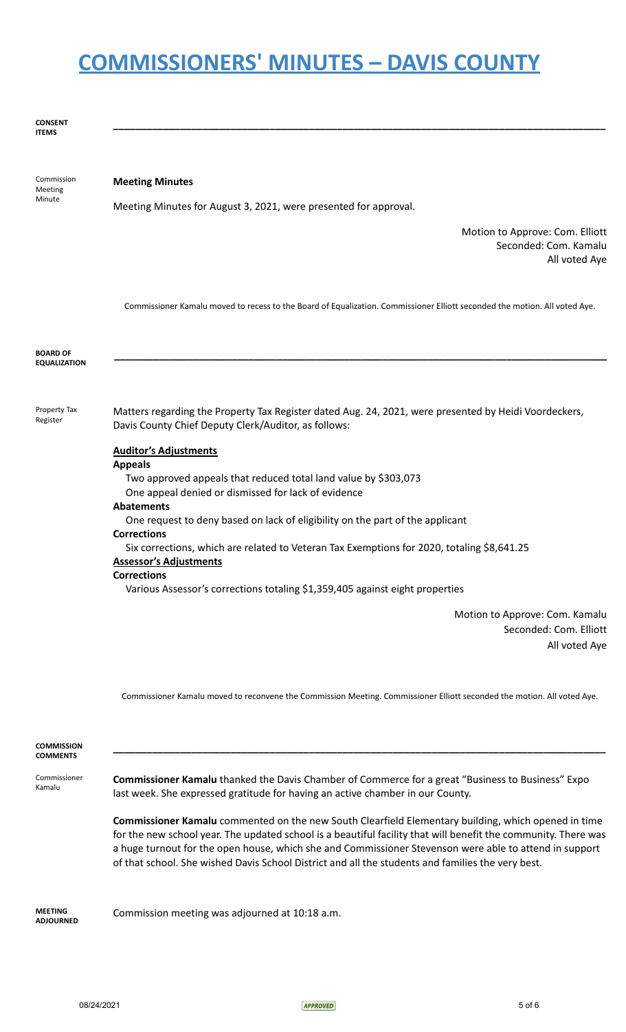**\_\_\_\_\_\_\_\_\_\_\_\_\_\_\_\_\_\_\_\_\_\_\_\_\_\_\_\_\_\_\_\_\_\_\_\_\_\_\_\_\_\_\_\_\_\_\_\_\_\_\_\_\_\_\_\_\_\_\_\_\_\_\_\_\_\_\_\_\_\_\_\_\_\_\_\_\_\_\_\_\_\_\_\_\_\_\_\_**

#### **CONSENT ITEMS**

| Commission<br>Meeting                  | <b>Meeting Minutes</b>                                                                                                                                        |  |  |
|----------------------------------------|---------------------------------------------------------------------------------------------------------------------------------------------------------------|--|--|
| Minute                                 | Meeting Minutes for August 3, 2021, were presented for approval.                                                                                              |  |  |
|                                        | Motion to Approve: Com. Elliott<br>Seconded: Com. Kamalu<br>All voted Aye                                                                                     |  |  |
|                                        | Commissioner Kamalu moved to recess to the Board of Equalization. Commissioner Elliott seconded the motion. All voted Aye.                                    |  |  |
| <b>BOARD OF</b><br><b>EQUALIZATION</b> |                                                                                                                                                               |  |  |
| Property Tax<br>Register               | Matters regarding the Property Tax Register dated Aug. 24, 2021, were presented by Heidi Voordeckers,<br>Davis County Chief Deputy Clerk/Auditor, as follows: |  |  |
|                                        | <b>Auditor's Adjustments</b><br><b>Appeals</b>                                                                                                                |  |  |
|                                        | Two approved appeals that reduced total land value by \$303,073<br>One appeal denied or dismissed for lack of evidence                                        |  |  |
|                                        | <b>Abatements</b>                                                                                                                                             |  |  |
|                                        | One request to deny based on lack of eligibility on the part of the applicant<br><b>Corrections</b>                                                           |  |  |
|                                        | Six corrections, which are related to Veteran Tax Exemptions for 2020, totaling \$8,641.25<br><b>Assessor's Adjustments</b>                                   |  |  |
|                                        | <b>Corrections</b>                                                                                                                                            |  |  |
|                                        | Various Assessor's corrections totaling \$1,359,405 against eight properties                                                                                  |  |  |
|                                        | Motion to Approve: Com. Kamalu<br>Seconded: Com. Elliott                                                                                                      |  |  |

All voted Aye

Commissioner Kamalu moved to reconvene the Commission Meeting. Commissioner Elliott seconded the motion. All voted Aye.

| <b>COMMISSION</b><br><b>COMMENTS</b> |                                                                                                                                                                                                                                                                                                                                                                                                                                             |  |
|--------------------------------------|---------------------------------------------------------------------------------------------------------------------------------------------------------------------------------------------------------------------------------------------------------------------------------------------------------------------------------------------------------------------------------------------------------------------------------------------|--|
| Commissioner<br>Kamalu               | <b>Commissioner Kamalu</b> thanked the Davis Chamber of Commerce for a great "Business to Business" Expo<br>last week. She expressed gratitude for having an active chamber in our County.                                                                                                                                                                                                                                                  |  |
|                                      | <b>Commissioner Kamalu</b> commented on the new South Clearfield Elementary building, which opened in time<br>for the new school year. The updated school is a beautiful facility that will benefit the community. There was<br>a huge turnout for the open house, which she and Commissioner Stevenson were able to attend in support<br>of that school. She wished Davis School District and all the students and families the very best. |  |
| <b>MFFTING</b><br><b>ADJOURNED</b>   | Commission meeting was adjourned at 10:18 a.m.                                                                                                                                                                                                                                                                                                                                                                                              |  |